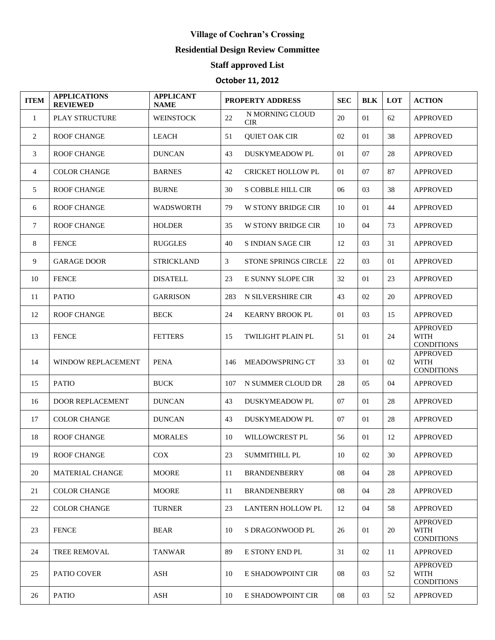## **Village of Cochran's Crossing**

## **Residential Design Review Committee**

## **Staff approved List**

## **October 11, 2012**

| <b>ITEM</b>  | <b>APPLICATIONS</b><br><b>REVIEWED</b> | <b>APPLICANT</b><br><b>NAME</b> | <b>PROPERTY ADDRESS</b> |                               | <b>SEC</b> | <b>BLK</b> | <b>LOT</b> | <b>ACTION</b>                                       |
|--------------|----------------------------------------|---------------------------------|-------------------------|-------------------------------|------------|------------|------------|-----------------------------------------------------|
| $\mathbf{1}$ | PLAY STRUCTURE                         | <b>WEINSTOCK</b>                | 22                      | N MORNING CLOUD<br><b>CIR</b> | 20         | 01         | 62         | <b>APPROVED</b>                                     |
| 2            | <b>ROOF CHANGE</b>                     | <b>LEACH</b>                    | 51                      | <b>QUIET OAK CIR</b>          | 02         | 01         | 38         | <b>APPROVED</b>                                     |
| 3            | <b>ROOF CHANGE</b>                     | <b>DUNCAN</b>                   | 43                      | <b>DUSKYMEADOW PL</b>         | 01         | 07         | 28         | <b>APPROVED</b>                                     |
| 4            | <b>COLOR CHANGE</b>                    | <b>BARNES</b>                   | 42                      | <b>CRICKET HOLLOW PL</b>      | 01         | 07         | 87         | <b>APPROVED</b>                                     |
| 5            | <b>ROOF CHANGE</b>                     | <b>BURNE</b>                    | 30                      | <b>S COBBLE HILL CIR</b>      | 06         | 03         | 38         | <b>APPROVED</b>                                     |
| 6            | <b>ROOF CHANGE</b>                     | <b>WADSWORTH</b>                | 79                      | <b>W STONY BRIDGE CIR</b>     | 10         | 01         | 44         | <b>APPROVED</b>                                     |
| $\tau$       | <b>ROOF CHANGE</b>                     | <b>HOLDER</b>                   | 35                      | <b>W STONY BRIDGE CIR</b>     | 10         | 04         | 73         | <b>APPROVED</b>                                     |
| 8            | <b>FENCE</b>                           | <b>RUGGLES</b>                  | 40                      | <b>S INDIAN SAGE CIR</b>      | 12         | 03         | 31         | <b>APPROVED</b>                                     |
| 9            | <b>GARAGE DOOR</b>                     | <b>STRICKLAND</b>               | 3                       | <b>STONE SPRINGS CIRCLE</b>   | 22         | 03         | 01         | <b>APPROVED</b>                                     |
| 10           | <b>FENCE</b>                           | <b>DISATELL</b>                 | 23                      | E SUNNY SLOPE CIR             | 32         | 01         | 23         | <b>APPROVED</b>                                     |
| 11           | <b>PATIO</b>                           | <b>GARRISON</b>                 | 283                     | N SILVERSHIRE CIR             | 43         | 02         | 20         | <b>APPROVED</b>                                     |
| 12           | <b>ROOF CHANGE</b>                     | <b>BECK</b>                     | 24                      | <b>KEARNY BROOK PL</b>        | 01         | 03         | 15         | <b>APPROVED</b>                                     |
| 13           | <b>FENCE</b>                           | <b>FETTERS</b>                  | 15                      | <b>TWILIGHT PLAIN PL</b>      | 51         | 01         | 24         | <b>APPROVED</b><br><b>WITH</b><br><b>CONDITIONS</b> |
| 14           | <b>WINDOW REPLACEMENT</b>              | <b>PENA</b>                     | 146                     | <b>MEADOWSPRING CT</b>        | 33         | 01         | 02         | <b>APPROVED</b><br><b>WITH</b><br><b>CONDITIONS</b> |
| 15           | <b>PATIO</b>                           | <b>BUCK</b>                     | 107                     | N SUMMER CLOUD DR             | 28         | 05         | 04         | <b>APPROVED</b>                                     |
| 16           | <b>DOOR REPLACEMENT</b>                | <b>DUNCAN</b>                   | 43                      | <b>DUSKYMEADOW PL</b>         | 07         | 01         | 28         | <b>APPROVED</b>                                     |
| 17           | <b>COLOR CHANGE</b>                    | <b>DUNCAN</b>                   | 43                      | <b>DUSKYMEADOW PL</b>         | 07         | 01         | 28         | <b>APPROVED</b>                                     |
| 18           | <b>ROOF CHANGE</b>                     | <b>MORALES</b>                  | 10                      | WILLOWCREST PL                | 56         | 01         | 12         | <b>APPROVED</b>                                     |
| 19           | ROOF CHANGE                            | COX                             | 23                      | SUMMITHILL PL                 | 10         | 02         | 30         | <b>APPROVED</b>                                     |
| 20           | <b>MATERIAL CHANGE</b>                 | <b>MOORE</b>                    | 11                      | <b>BRANDENBERRY</b>           | 08         | 04         | 28         | <b>APPROVED</b>                                     |
| 21           | <b>COLOR CHANGE</b>                    | <b>MOORE</b>                    | 11                      | <b>BRANDENBERRY</b>           | 08         | 04         | 28         | <b>APPROVED</b>                                     |
| 22           | <b>COLOR CHANGE</b>                    | <b>TURNER</b>                   | 23                      | <b>LANTERN HOLLOW PL</b>      | 12         | 04         | 58         | <b>APPROVED</b>                                     |
| 23           | <b>FENCE</b>                           | <b>BEAR</b>                     | 10                      | S DRAGONWOOD PL               | 26         | 01         | 20         | <b>APPROVED</b><br><b>WITH</b><br><b>CONDITIONS</b> |
| 24           | <b>TREE REMOVAL</b>                    | <b>TANWAR</b>                   | 89                      | E STONY END PL                | 31         | 02         | 11         | <b>APPROVED</b>                                     |
| 25           | <b>PATIO COVER</b>                     | ASH                             | 10                      | E SHADOWPOINT CIR             | 08         | 03         | 52         | <b>APPROVED</b><br><b>WITH</b><br><b>CONDITIONS</b> |
| 26           | <b>PATIO</b>                           | ASH                             | 10                      | E SHADOWPOINT CIR             | 08         | 03         | 52         | <b>APPROVED</b>                                     |